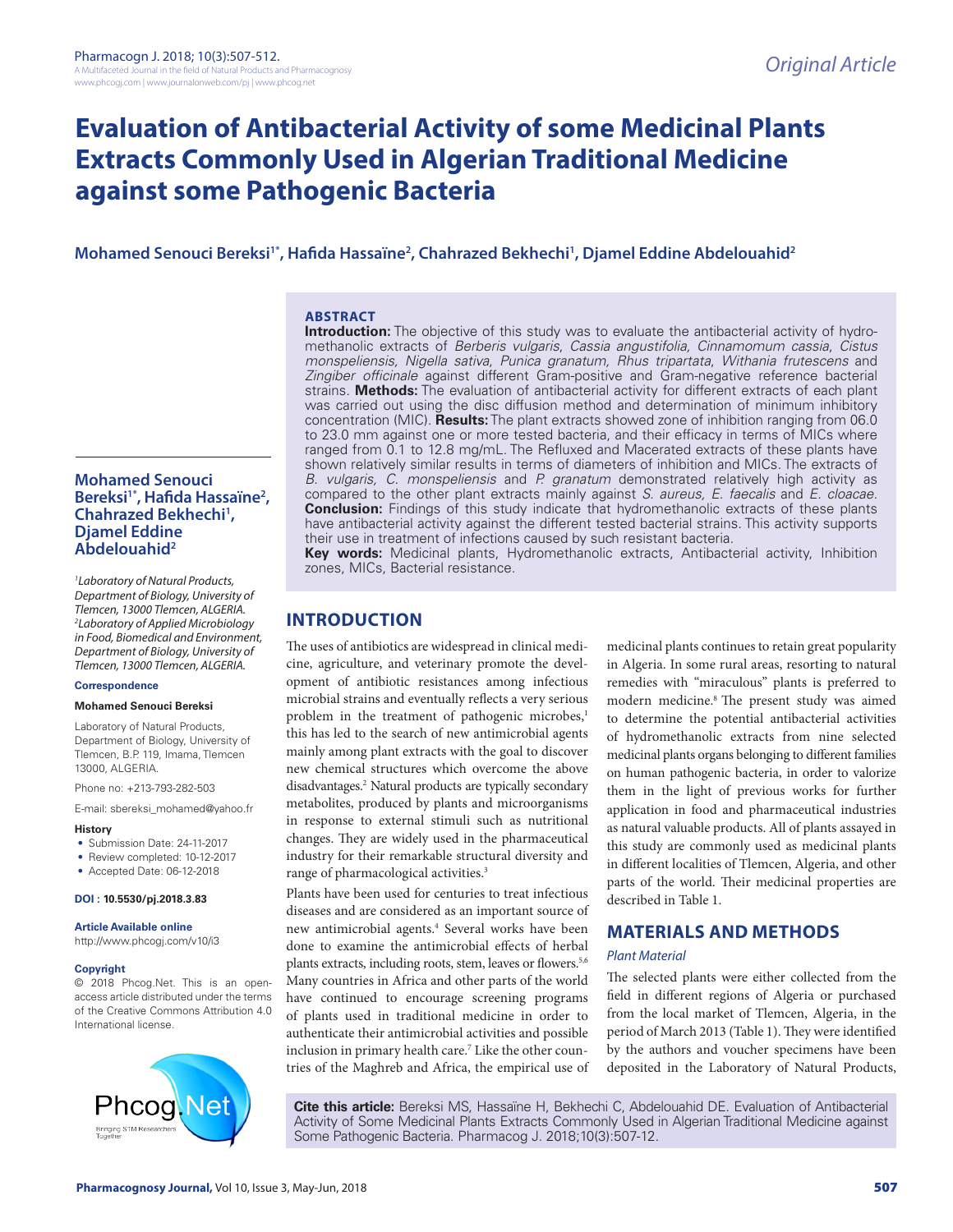# **Evaluation of Antibacterial Activity of some Medicinal Plants Extracts Commonly Used in Algerian Traditional Medicine against some Pathogenic Bacteria**

# **Mohamed Senouci Bereksi1\*, Hafida Hassaïne2 , Chahrazed Bekhechi1 , Djamel Eddine Abdelouahid2**

### **ABSTRACT**

**Introduction:** The objective of this study was to evaluate the antibacterial activity of hydromethanolic extracts of *Berberis vulgaris*, *Cassia angustifolia, Cinnamomum cassia*, *Cistus monspeliensis, Nigella sativa*, *Punica granatum, Rhus tripartata*, *Withania frutescens* and *Zingiber officinale* against different Gram-positive and Gram-negative reference bacterial strains. **Methods:** The evaluation of antibacterial activity for different extracts of each plant was carried out using the disc diffusion method and determination of minimum inhibitory concentration (MIC). **Results:** The plant extracts showed zone of inhibition ranging from 06.0 to 23.0 mm against one or more tested bacteria, and their efficacy in terms of MICs where ranged from 0.1 to 12.8 mg/mL. The Refluxed and Macerated extracts of these plants have shown relatively similar results in terms of diameters of inhibition and MICs. The extracts of *B. vulgaris, C. monspeliensis* and *P. granatum* demonstrated relatively high activity as compared to the other plant extracts mainly against *S. aureus, E. faecalis* and *E. cloacae.* **Conclusion:** Findings of this study indicate that hydromethanolic extracts of these plants have antibacterial activity against the different tested bacterial strains. This activity supports their use in treatment of infections caused by such resistant bacteria.

**Key words:** Medicinal plants, Hydromethanolic extracts, Antibacterial activity, Inhibition zones, MICs, Bacterial resistance.

# **INTRODUCTION**

The uses of antibiotics are widespread in clinical medicine, agriculture, and veterinary promote the development of antibiotic resistances among infectious microbial strains and eventually reflects a very serious problem in the treatment of pathogenic microbes,<sup>1</sup> this has led to the search of new antimicrobial agents mainly among plant extracts with the goal to discover new chemical structures which overcome the above disadvantages.2 Natural products are typically secondary metabolites, produced by plants and microorganisms in response to external stimuli such as nutritional changes. They are widely used in the pharmaceutical industry for their remarkable structural diversity and range of pharmacological activities.3

Plants have been used for centuries to treat infectious diseases and are considered as an important source of new antimicrobial agents.4 Several works have been done to examine the antimicrobial effects of herbal plants extracts, including roots, stem, leaves or flowers.<sup>5,6</sup> Many countries in Africa and other parts of the world have continued to encourage screening programs of plants used in traditional medicine in order to authenticate their antimicrobial activities and possible inclusion in primary health care.<sup>7</sup> Like the other countries of the Maghreb and Africa, the empirical use of medicinal plants continues to retain great popularity in Algeria. In some rural areas, resorting to natural remedies with "miraculous" plants is preferred to modern medicine.8 The present study was aimed to determine the potential antibacterial activities of hydromethanolic extracts from nine selected medicinal plants organs belonging to different families on human pathogenic bacteria, in order to valorize them in the light of previous works for further application in food and pharmaceutical industries as natural valuable products. All of plants assayed in this study are commonly used as medicinal plants in different localities of Tlemcen, Algeria, and other parts of the world. Their medicinal properties are described in Table 1.

# **MATERIALS AND METHODS**

#### *Plant Material*

The selected plants were either collected from the field in different regions of Algeria or purchased from the local market of Tlemcen, Algeria, in the period of March 2013 (Table 1). They were identified by the authors and voucher specimens have been deposited in the Laboratory of Natural Products,

**Cite this article:** Bereksi MS, Hassaïne H, Bekhechi C, Abdelouahid DE. Evaluation of Antibacterial Activity of Some Medicinal Plants Extracts Commonly Used in Algerian Traditional Medicine against Some Pathogenic Bacteria. Pharmacog J. 2018;10(3):507-12.

### **Mohamed Senouci Bereksi1\*, Hafida Hassaïne2 , Chahrazed Bekhechi1 , Djamel Eddine Abdelouahid2**

*1 Laboratory of Natural Products, Department of Biology, University of Tlemcen, 13000 Tlemcen, ALGERIA. 2 Laboratory of Applied Microbiology in Food, Biomedical and Environment, Department of Biology, University of Tlemcen, 13000 Tlemcen, ALGERIA.*

#### **Correspondence**

#### **Mohamed Senouci Bereksi**

Laboratory of Natural Products, Department of Biology, University of Tlemcen, B.P. 119, Imama, Tlemcen 13000, ALGERIA.

Phone no: +213-793-282-503

E-mail: sbereksi\_mohamed@yahoo.fr

#### **History**

- Submission Date: 24-11-2017
- Review completed: 10-12-2017
- Accepted Date: 06-12-2018

#### **DOI : 10.5530/pj.2018.3.83**

**Article Available online** 

http://www.phcogj.com/v10/i3

### **Copyright**

© 2018 Phcog.Net. This is an openaccess article distributed under the terms of the Creative Commons Attribution 4.0 International license.

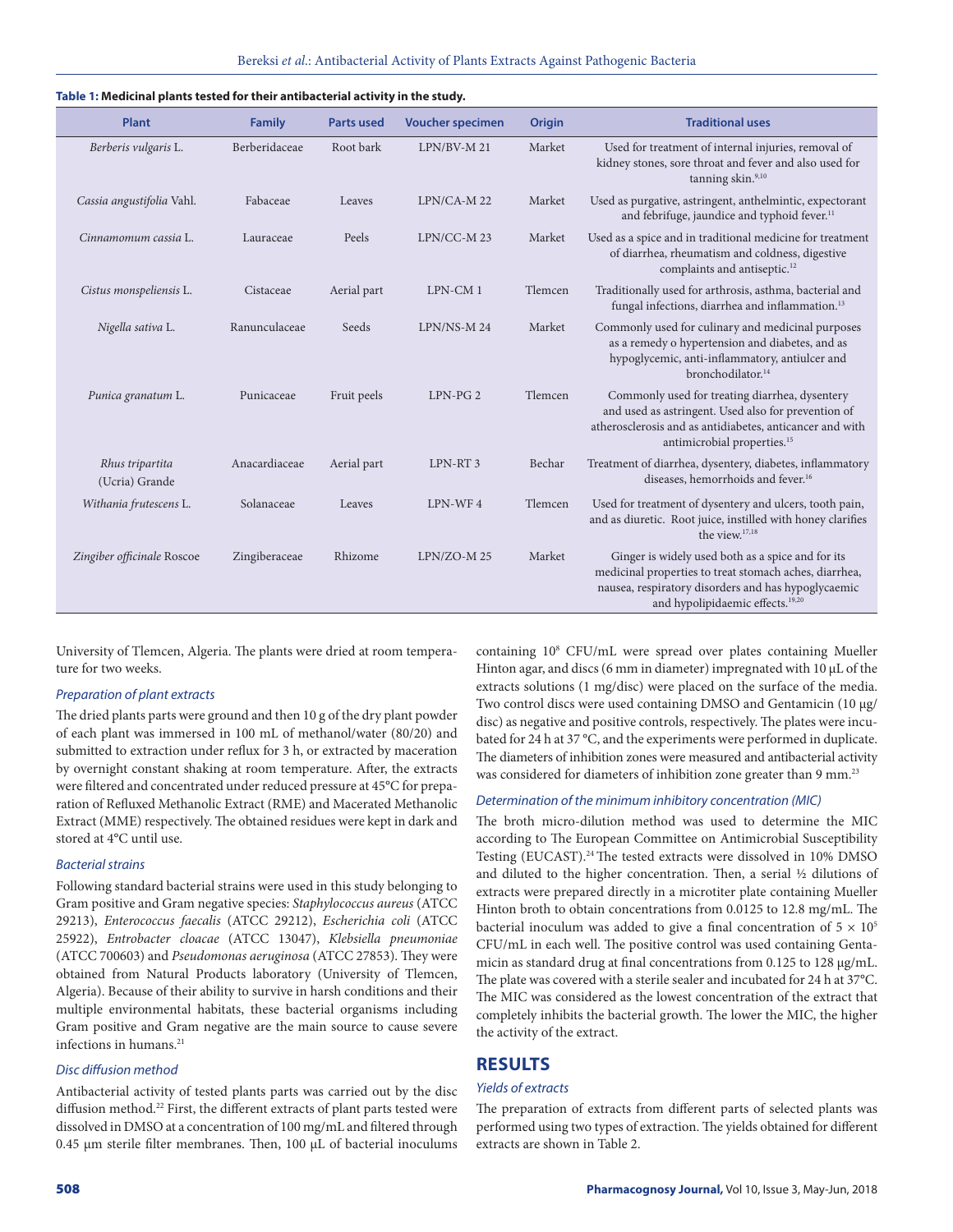| Plant                             | <b>Family</b> | <b>Parts used</b> | <b>Voucher specimen</b> | <b>Origin</b> | <b>Traditional uses</b>                                                                                                                                                                                            |
|-----------------------------------|---------------|-------------------|-------------------------|---------------|--------------------------------------------------------------------------------------------------------------------------------------------------------------------------------------------------------------------|
| Berberis vulgaris L.              | Berberidaceae | Root bark         | $LPN/BV-M 21$           | Market        | Used for treatment of internal injuries, removal of<br>kidney stones, sore throat and fever and also used for<br>tanning skin. <sup>9,10</sup>                                                                     |
| Cassia angustifolia Vahl.         | Fabaceae      | Leaves            | LPN/CA-M 22             | Market        | Used as purgative, astringent, anthelmintic, expectorant<br>and febrifuge, jaundice and typhoid fever. <sup>11</sup>                                                                                               |
| Cinnamomum cassia L.              | Lauraceae     | Peels             | LPN/CC-M23              | Market        | Used as a spice and in traditional medicine for treatment<br>of diarrhea, rheumatism and coldness, digestive<br>complaints and antiseptic. <sup>12</sup>                                                           |
| Cistus monspeliensis L.           | Cistaceae     | Aerial part       | LPN-CM1                 | Tlemcen       | Traditionally used for arthrosis, asthma, bacterial and<br>fungal infections, diarrhea and inflammation. <sup>13</sup>                                                                                             |
| Nigella sativa L.                 | Ranunculaceae | Seeds             | LPN/NS-M 24             | Market        | Commonly used for culinary and medicinal purposes<br>as a remedy o hypertension and diabetes, and as<br>hypoglycemic, anti-inflammatory, antiulcer and<br>bronchodilator. <sup>14</sup>                            |
| Punica granatum L.                | Punicaceae    | Fruit peels       | $LPN-PG2$               | Tlemcen       | Commonly used for treating diarrhea, dysentery<br>and used as astringent. Used also for prevention of<br>atherosclerosis and as antidiabetes, anticancer and with<br>antimicrobial properties. <sup>15</sup>       |
| Rhus tripartita<br>(Ucria) Grande | Anacardiaceae | Aerial part       | LPN-RT <sub>3</sub>     | Bechar        | Treatment of diarrhea, dysentery, diabetes, inflammatory<br>diseases, hemorrhoids and fever. <sup>16</sup>                                                                                                         |
| Withania frutescens L.            | Solanaceae    | Leaves            | LPN-WF4                 | Tlemcen       | Used for treatment of dysentery and ulcers, tooth pain,<br>and as diuretic. Root juice, instilled with honey clarifies<br>the view. <sup>17,18</sup>                                                               |
| Zingiber officinale Roscoe        | Zingiberaceae | Rhizome           | LPN/ZO-M25              | Market        | Ginger is widely used both as a spice and for its<br>medicinal properties to treat stomach aches, diarrhea,<br>nausea, respiratory disorders and has hypoglycaemic<br>and hypolipidaemic effects. <sup>19,20</sup> |

#### **Table 1: Medicinal plants tested for their antibacterial activity in the study.**

University of Tlemcen, Algeria. The plants were dried at room temperature for two weeks.

#### *Preparation of plant extracts*

The dried plants parts were ground and then 10 g of the dry plant powder of each plant was immersed in 100 mL of methanol/water (80/20) and submitted to extraction under reflux for 3 h, or extracted by maceration by overnight constant shaking at room temperature. After, the extracts were filtered and concentrated under reduced pressure at 45°C for preparation of Refluxed Methanolic Extract (RME) and Macerated Methanolic Extract (MME) respectively. The obtained residues were kept in dark and stored at 4°C until use.

### *Bacterial strains*

Following standard bacterial strains were used in this study belonging to Gram positive and Gram negative species: *Staphylococcus aureus* (ATCC 29213), *Enterococcus faecalis* (ATCC 29212), *Escherichia coli* (ATCC 25922), *Entrobacter cloacae* (ATCC 13047), *Klebsiella pneumoniae* (ATCC 700603) and *Pseudomonas aeruginosa* (ATCC 27853). They were obtained from Natural Products laboratory (University of Tlemcen, Algeria). Because of their ability to survive in harsh conditions and their multiple environmental habitats, these bacterial organisms including Gram positive and Gram negative are the main source to cause severe infections in humans.<sup>21</sup>

#### *Disc diffusion method*

Antibacterial activity of tested plants parts was carried out by the disc diffusion method.<sup>22</sup> First, the different extracts of plant parts tested were dissolved in DMSO at a concentration of 100 mg/mL and filtered through 0.45 µm sterile filter membranes. Then, 100 µL of bacterial inoculums containing 108 CFU/mL were spread over plates containing Mueller Hinton agar, and discs (6 mm in diameter) impregnated with 10 µL of the extracts solutions (1 mg/disc) were placed on the surface of the media. Two control discs were used containing DMSO and Gentamicin (10 µg/ disc) as negative and positive controls, respectively. The plates were incubated for 24 h at 37 °C, and the experiments were performed in duplicate. The diameters of inhibition zones were measured and antibacterial activity was considered for diameters of inhibition zone greater than 9 mm.<sup>23</sup>

#### *Determination of the minimum inhibitory concentration (MIC)*

The broth micro-dilution method was used to determine the MIC according to The European Committee on Antimicrobial Susceptibility Testing (EUCAST).<sup>24</sup> The tested extracts were dissolved in 10% DMSO and diluted to the higher concentration. Then, a serial ½ dilutions of extracts were prepared directly in a microtiter plate containing Mueller Hinton broth to obtain concentrations from 0.0125 to 12.8 mg/mL. The bacterial inoculum was added to give a final concentration of  $5 \times 10^5$ CFU/mL in each well. The positive control was used containing Gentamicin as standard drug at final concentrations from 0.125 to 128 µg/mL. The plate was covered with a sterile sealer and incubated for 24 h at 37°C. The MIC was considered as the lowest concentration of the extract that completely inhibits the bacterial growth. The lower the MIC, the higher the activity of the extract.

# **RESULTS**

#### *Yields of extracts*

The preparation of extracts from different parts of selected plants was performed using two types of extraction. The yields obtained for different extracts are shown in Table 2.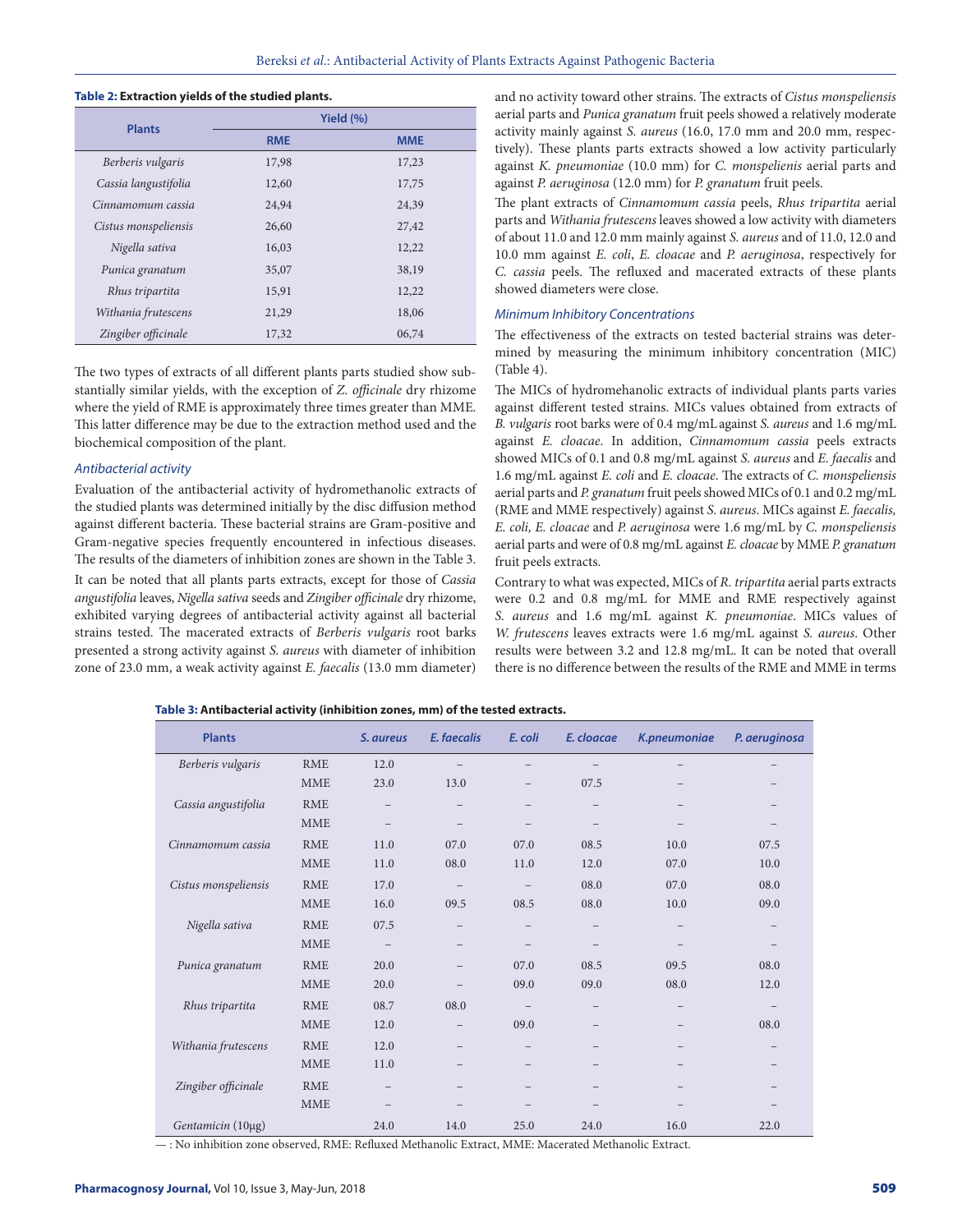#### **Table 2: Extraction yields of the studied plants.**

| <b>Plants</b>        | Yield $(\% )$ |            |  |  |  |
|----------------------|---------------|------------|--|--|--|
|                      | <b>RME</b>    | <b>MME</b> |  |  |  |
| Berberis vulgaris    | 17,98         | 17,23      |  |  |  |
| Cassia langustifolia | 12,60         | 17,75      |  |  |  |
| Cinnamomum cassia    | 24,94         | 24,39      |  |  |  |
| Cistus monspeliensis | 26,60         | 27,42      |  |  |  |
| Nigella sativa       | 16,03         | 12,22      |  |  |  |
| Punica granatum      | 35,07         | 38,19      |  |  |  |
| Rhus tripartita      | 15,91         | 12,22      |  |  |  |
| Withania frutescens  | 21,29         | 18,06      |  |  |  |
| Zingiber officinale  | 17,32         | 06,74      |  |  |  |

The two types of extracts of all different plants parts studied show substantially similar yields, with the exception of *Z. officinale* dry rhizome where the yield of RME is approximately three times greater than MME. This latter difference may be due to the extraction method used and the biochemical composition of the plant.

#### *Antibacterial activity*

Evaluation of the antibacterial activity of hydromethanolic extracts of the studied plants was determined initially by the disc diffusion method against different bacteria. These bacterial strains are Gram-positive and Gram-negative species frequently encountered in infectious diseases. The results of the diameters of inhibition zones are shown in the Table 3.

It can be noted that all plants parts extracts, except for those of *Cassia angustifolia* leaves, *Nigella sativa* seeds and *Zingiber officinale* dry rhizome, exhibited varying degrees of antibacterial activity against all bacterial strains tested. The macerated extracts of *Berberis vulgaris* root barks presented a strong activity against *S. aureus* with diameter of inhibition zone of 23.0 mm, a weak activity against *E. faecalis* (13.0 mm diameter)

and no activity toward other strains. The extracts of *Cistus monspeliensis*  aerial parts and *Punica granatum* fruit peels showed a relatively moderate activity mainly against *S. aureus* (16.0, 17.0 mm and 20.0 mm, respectively). These plants parts extracts showed a low activity particularly against *K. pneumoniae* (10.0 mm) for *C. monspelienis* aerial parts and against *P. aeruginosa* (12.0 mm) for *P. granatum* fruit peels.

The plant extracts of *Cinnamomum cassia* peels, *Rhus tripartita* aerial parts and *Withania frutescens* leaves showed a low activity with diameters of about 11.0 and 12.0 mm mainly against *S. aureus* and of 11.0, 12.0 and 10.0 mm against *E. coli*, *E. cloacae* and *P. aeruginosa*, respectively for *C. cassia* peels. The refluxed and macerated extracts of these plants showed diameters were close.

#### *Minimum Inhibitory Concentrations*

The effectiveness of the extracts on tested bacterial strains was determined by measuring the minimum inhibitory concentration (MIC) (Table 4).

The MICs of hydromehanolic extracts of individual plants parts varies against different tested strains. MICs values obtained from extracts of *B. vulgaris* root barks were of 0.4 mg/mLagainst *S. aureus* and 1.6 mg/mL against *E. cloacae*. In addition, *Cinnamomum cassia* peels extracts showed MICs of 0.1 and 0.8 mg/mL against *S. aureus* and *E. faecalis* and 1.6 mg/mL against *E. coli* and *E. cloacae*. The extracts of *C. monspeliensis* aerial parts and *P. granatum* fruit peels showed MICs of 0.1 and 0.2 mg/mL (RME and MME respectively) against *S. aureus*. MICs against *E. faecalis, E. coli, E. cloacae* and *P. aeruginosa* were 1.6 mg/mL by *C. monspeliensis* aerial parts and were of 0.8 mg/mL against *E. cloacae* by MME *P. granatum* fruit peels extracts.

Contrary to what was expected, MICs of *R. tripartita* aerial parts extracts were 0.2 and 0.8 mg/mL for MME and RME respectively against *S. aureus* and 1.6 mg/mL against *K. pneumoniae*. MICs values of *W. frutescens* leaves extracts were 1.6 mg/mL against *S. aureus*. Other results were between 3.2 and 12.8 mg/mL. It can be noted that overall there is no difference between the results of the RME and MME in terms

| Table 3: Antibacterial activity (inhibition zones, mm) of the tested extracts. |  |
|--------------------------------------------------------------------------------|--|
|--------------------------------------------------------------------------------|--|

| <b>Plants</b>        |            | S. aureus                | E. faecalis              | E. coli                  | E. cloacae               | K.pneumoniae             | P. aeruginosa            |
|----------------------|------------|--------------------------|--------------------------|--------------------------|--------------------------|--------------------------|--------------------------|
| Berberis vulgaris    | <b>RME</b> | 12.0                     | $\overline{\phantom{0}}$ | $-$                      |                          |                          |                          |
|                      | <b>MME</b> | 23.0                     | 13.0                     |                          | 07.5                     |                          |                          |
| Cassia angustifolia  | <b>RME</b> |                          |                          |                          |                          |                          |                          |
|                      | <b>MME</b> |                          |                          |                          |                          |                          | $\overline{\phantom{m}}$ |
| Cinnamomum cassia    | <b>RME</b> | 11.0                     | 07.0                     | 07.0                     | 08.5                     | 10.0                     | 07.5                     |
|                      | <b>MME</b> | 11.0                     | 08.0                     | 11.0                     | 12.0                     | 07.0                     | 10.0                     |
| Cistus monspeliensis | <b>RME</b> | 17.0                     | $\overline{\phantom{0}}$ | $\overline{\phantom{0}}$ | 08.0                     | 07.0                     | 08.0                     |
|                      | <b>MME</b> | 16.0                     | 09.5                     | 08.5                     | 08.0                     | 10.0                     | 09.0                     |
| Nigella sativa       | <b>RME</b> | 07.5                     | $\overline{a}$           | $-$                      | $\qquad \qquad -$        | $\overline{\phantom{m}}$ | $\overline{\phantom{0}}$ |
|                      | <b>MME</b> | $\qquad \qquad -$        |                          |                          |                          |                          | $\overline{\phantom{m}}$ |
| Punica granatum      | <b>RME</b> | 20.0                     | $\overline{a}$           | 07.0                     | 08.5                     | 09.5                     | 08.0                     |
|                      | <b>MME</b> | 20.0                     |                          | 09.0                     | 09.0                     | 08.0                     | 12.0                     |
| Rhus tripartita      | <b>RME</b> | 08.7                     | 08.0                     |                          |                          | $\overline{\phantom{0}}$ | $\overline{\phantom{m}}$ |
|                      | <b>MME</b> | 12.0                     | $\overline{\phantom{0}}$ | 09.0                     | $\overline{\phantom{0}}$ | $\overline{\phantom{m}}$ | 08.0                     |
| Withania frutescens  | <b>RME</b> | 12.0                     | $\overline{\phantom{0}}$ | $\overline{\phantom{0}}$ |                          | $\overline{\phantom{m}}$ | $\overline{\phantom{m}}$ |
|                      | <b>MME</b> | 11.0                     | $\qquad \qquad -$        |                          |                          | $\qquad \qquad -$        |                          |
| Zingiber officinale  | <b>RME</b> |                          |                          |                          |                          |                          |                          |
|                      | <b>MME</b> | $\overline{\phantom{0}}$ |                          |                          |                          | $\overline{\phantom{0}}$ |                          |
| Gentamicin (10µg)    |            | 24.0                     | 14.0                     | 25.0                     | 24.0                     | 16.0                     | 22.0                     |

— : No inhibition zone observed, RME: Refluxed Methanolic Extract, MME: Macerated Methanolic Extract.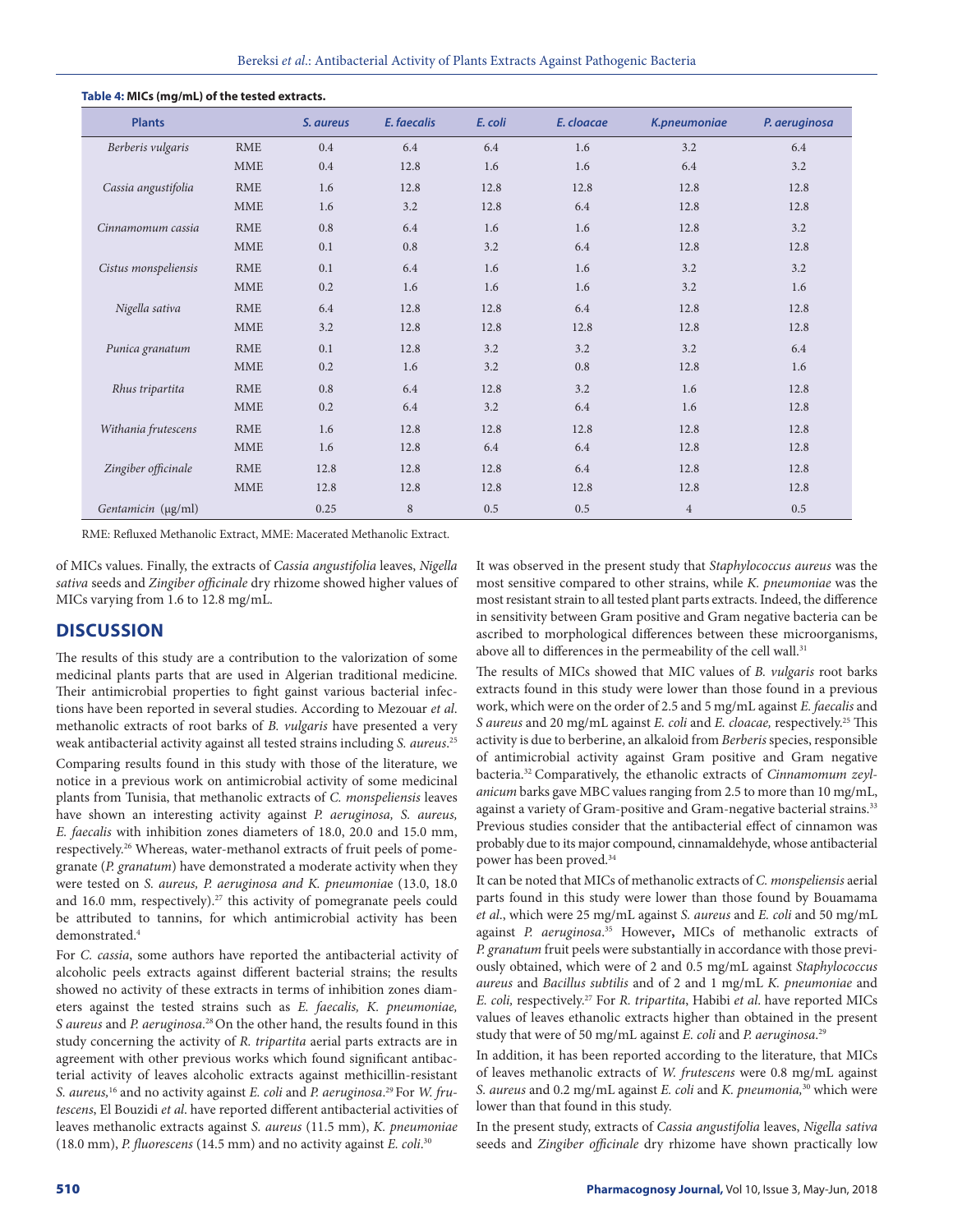| <b>Plants</b>        |            | S. aureus | E. faecalis | E. coli | E. cloacae | K.pneumoniae   | P. aeruginosa |
|----------------------|------------|-----------|-------------|---------|------------|----------------|---------------|
| Berberis vulgaris    | <b>RME</b> | 0.4       | 6.4         | 6.4     | 1.6        | 3.2            | 6.4           |
|                      | <b>MME</b> | 0.4       | 12.8        | 1.6     | 1.6        | 6.4            | 3.2           |
| Cassia angustifolia  | <b>RME</b> | 1.6       | 12.8        | 12.8    | 12.8       | 12.8           | 12.8          |
|                      | <b>MME</b> | 1.6       | 3.2         | 12.8    | 6.4        | 12.8           | 12.8          |
| Cinnamomum cassia    | <b>RME</b> | 0.8       | 6.4         | 1.6     | 1.6        | 12.8           | 3.2           |
|                      | <b>MME</b> | 0.1       | 0.8         | 3.2     | 6.4        | 12.8           | 12.8          |
| Cistus monspeliensis | <b>RME</b> | 0.1       | 6.4         | 1.6     | 1.6        | 3.2            | 3.2           |
|                      | <b>MME</b> | 0.2       | 1.6         | 1.6     | 1.6        | 3.2            | 1.6           |
| Nigella sativa       | <b>RME</b> | 6.4       | 12.8        | 12.8    | 6.4        | 12.8           | 12.8          |
|                      | <b>MME</b> | 3.2       | 12.8        | 12.8    | 12.8       | 12.8           | 12.8          |
| Punica granatum      | <b>RME</b> | 0.1       | 12.8        | 3.2     | 3.2        | 3.2            | 6.4           |
|                      | <b>MME</b> | 0.2       | 1.6         | 3.2     | 0.8        | 12.8           | 1.6           |
| Rhus tripartita      | <b>RME</b> | 0.8       | 6.4         | 12.8    | 3.2        | 1.6            | 12.8          |
|                      | <b>MME</b> | 0.2       | 6.4         | 3.2     | 6.4        | 1.6            | 12.8          |
| Withania frutescens  | <b>RME</b> | 1.6       | 12.8        | 12.8    | 12.8       | 12.8           | 12.8          |
|                      | <b>MME</b> | 1.6       | 12.8        | 6.4     | 6.4        | 12.8           | 12.8          |
| Zingiber officinale  | <b>RME</b> | 12.8      | 12.8        | 12.8    | 6.4        | 12.8           | 12.8          |
|                      | <b>MME</b> | 12.8      | 12.8        | 12.8    | 12.8       | 12.8           | 12.8          |
| Gentamicin (µg/ml)   |            | 0.25      | 8           | 0.5     | 0.5        | $\overline{4}$ | 0.5           |

#### **Table 4: MICs (mg/mL) of the tested extracts.**

RME: Refluxed Methanolic Extract, MME: Macerated Methanolic Extract.

of MICs values. Finally, the extracts of *Cassia angustifolia* leaves, *Nigella sativa* seeds and *Zingiber officinale* dry rhizome showed higher values of MICs varying from 1.6 to 12.8 mg/mL.

### **DISCUSSION**

The results of this study are a contribution to the valorization of some medicinal plants parts that are used in Algerian traditional medicine. Their antimicrobial properties to fight gainst various bacterial infections have been reported in several studies. According to Mezouar *et al*. methanolic extracts of root barks of *B. vulgaris* have presented a very weak antibacterial activity against all tested strains including *S. aureus*. 25 Comparing results found in this study with those of the literature, we notice in a previous work on antimicrobial activity of some medicinal plants from Tunisia, that methanolic extracts of *C. monspeliensis* leaves

have shown an interesting activity against *P. aeruginosa, S. aureus, E. faecalis* with inhibition zones diameters of 18.0, 20.0 and 15.0 mm, respectively.26 Whereas, water-methanol extracts of fruit peels of pomegranate (*P. granatum*) have demonstrated a moderate activity when they were tested on *S. aureus, P. aeruginosa and K. pneumonia*e (13.0, 18.0 and 16.0 mm, respectively).<sup>27</sup> this activity of pomegranate peels could be attributed to tannins, for which antimicrobial activity has been demonstrated.4

For *C. cassia*, some authors have reported the antibacterial activity of alcoholic peels extracts against different bacterial strains; the results showed no activity of these extracts in terms of inhibition zones diameters against the tested strains such as *E. faecalis, K. pneumoniae, S aureus* and *P. aeruginosa*. 28 On the other hand, the results found in this study concerning the activity of *R. tripartita* aerial parts extracts are in agreement with other previous works which found significant antibacterial activity of leaves alcoholic extracts against methicillin-resistant *S. aureus,*<sup>16</sup> and no activity against *E. coli* and *P. aeruginosa*. 29 For *W. frutescens*, El Bouzidi *et al*. have reported different antibacterial activities of leaves methanolic extracts against *S. aureus* (11.5 mm), *K. pneumoniae* (18.0 mm), *P. fluorescens* (14.5 mm) and no activity against *E. coli*. 30

It was observed in the present study that *Staphylococcus aureus* was the most sensitive compared to other strains, while *K. pneumoniae* was the most resistant strain to all tested plant parts extracts. Indeed, the difference in sensitivity between Gram positive and Gram negative bacteria can be ascribed to morphological differences between these microorganisms, above all to differences in the permeability of the cell wall.<sup>31</sup>

The results of MICs showed that MIC values of *B. vulgaris* root barks extracts found in this study were lower than those found in a previous work, which were on the order of 2.5 and 5 mg/mL against *E. faecalis* and *S aureus* and 20 mg/mL against *E. coli* and *E. cloacae,* respectively.25 This activity is due to berberine, an alkaloid from *Berberis* species, responsible of antimicrobial activity against Gram positive and Gram negative bacteria.32 Comparatively, the ethanolic extracts of *Cinnamomum zeylanicum* barks gave MBC values ranging from 2.5 to more than 10 mg/mL, against a variety of Gram-positive and Gram-negative bacterial strains.<sup>33</sup> Previous studies consider that the antibacterial effect of cinnamon was probably due to its major compound, cinnamaldehyde, whose antibacterial power has been proved.<sup>34</sup>

It can be noted that MICs of methanolic extracts of *C. monspeliensis* aerial parts found in this study were lower than those found by Bouamama *et al*., which were 25 mg/mL against *S. aureus* and *E. coli* and 50 mg/mL against *P. aeruginosa*. 35 However**,** MICs of methanolic extracts of *P. granatum* fruit peels were substantially in accordance with those previously obtained, which were of 2 and 0.5 mg/mL against *Staphylococcus aureus* and *Bacillus subtilis* and of 2 and 1 mg/mL *K. pneumoniae* and *E. coli,* respectively.27 For *R. tripartita*, Habibi *et al*. have reported MICs values of leaves ethanolic extracts higher than obtained in the present study that were of 50 mg/mL against *E. coli* and *P. aeruginosa*. 29

In addition, it has been reported according to the literature, that MICs of leaves methanolic extracts of *W. frutescens* were 0.8 mg/mL against *S. aureus* and 0.2 mg/mL against *E. coli* and *K. pneumonia,*30 which were lower than that found in this study.

In the present study, extracts of *Cassia angustifolia* leaves, *Nigella sativa* seeds and *Zingiber officinale* dry rhizome have shown practically low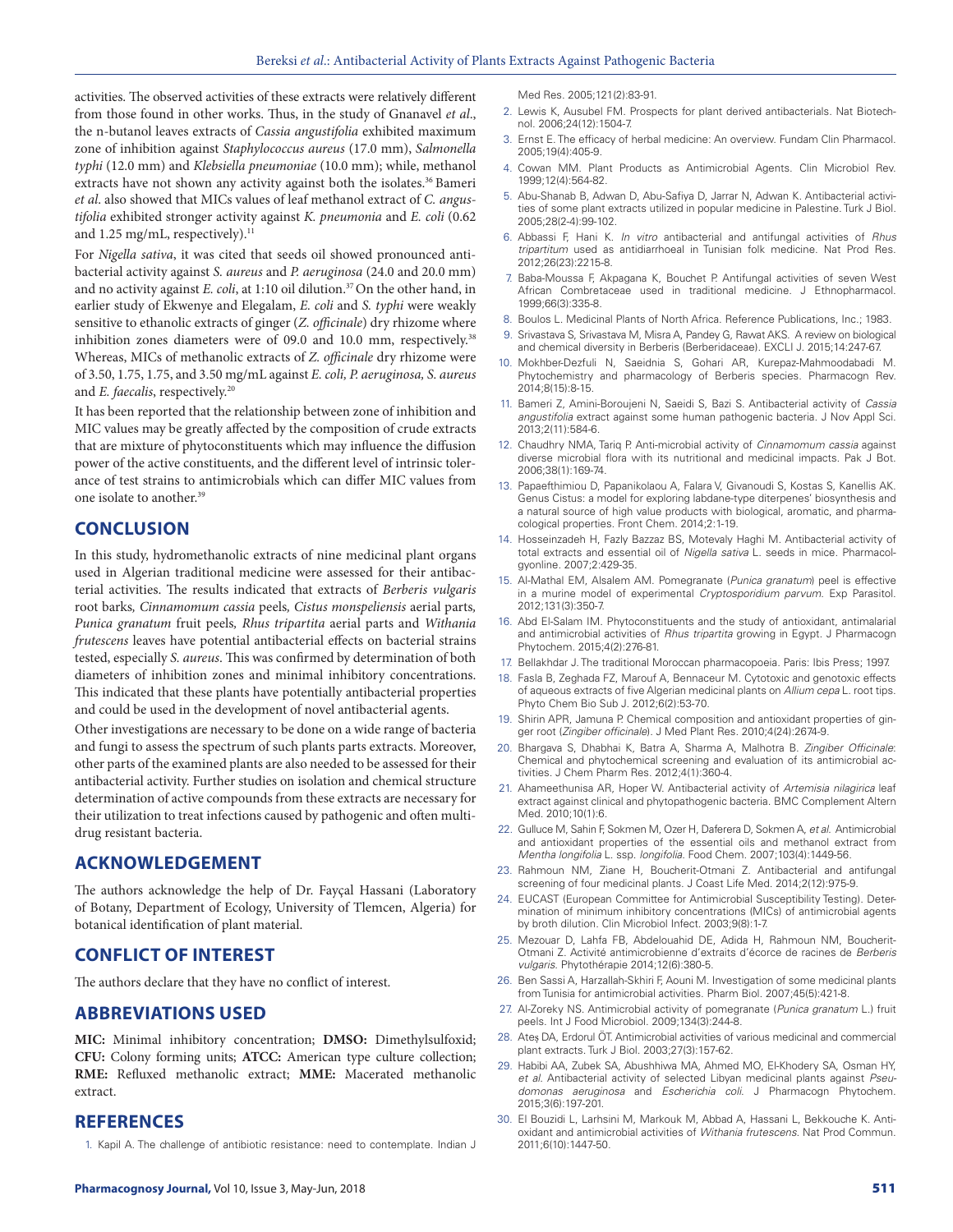activities. The observed activities of these extracts were relatively different from those found in other works. Thus, in the study of Gnanavel *et al*., the n-butanol leaves extracts of *Cassia angustifolia* exhibited maximum zone of inhibition against *Staphylococcus aureus* (17.0 mm), *Salmonella typhi* (12.0 mm) and *Klebsiella pneumoniae* (10.0 mm); while, methanol extracts have not shown any activity against both the isolates.<sup>36</sup> Bameri *et al*. also showed that MICs values of leaf methanol extract of *C. angustifolia* exhibited stronger activity against *K. pneumonia* and *E. coli* (0.62 and 1.25 mg/mL, respectively).<sup>11</sup>

For *Nigella sativa*, it was cited that seeds oil showed pronounced antibacterial activity against *S. aureus* and *P. aeruginosa* (24.0 and 20.0 mm) and no activity against *E. coli*, at 1:10 oil dilution.<sup>37</sup> On the other hand, in earlier study of Ekwenye and Elegalam, *E. coli* and *S. typhi* were weakly sensitive to ethanolic extracts of ginger (*Z. officinale*) dry rhizome where inhibition zones diameters were of 09.0 and 10.0 mm, respectively.<sup>38</sup> Whereas, MICs of methanolic extracts of *Z. officinale* dry rhizome were of 3.50, 1.75, 1.75, and 3.50 mg/mL against *E. coli, P. aeruginosa, S. aureus* and *E. faecalis*, respectively.<sup>20</sup>

It has been reported that the relationship between zone of inhibition and MIC values may be greatly affected by the composition of crude extracts that are mixture of phytoconstituents which may influence the diffusion power of the active constituents, and the different level of intrinsic tolerance of test strains to antimicrobials which can differ MIC values from one isolate to another.39

# **CONCLUSION**

In this study, hydromethanolic extracts of nine medicinal plant organs used in Algerian traditional medicine were assessed for their antibacterial activities. The results indicated that extracts of *Berberis vulgaris* root barks*, Cinnamomum cassia* peels*, Cistus monspeliensis* aerial parts*, Punica granatum* fruit peels*, Rhus tripartita* aerial parts and *Withania frutescens* leaves have potential antibacterial effects on bacterial strains tested, especially *S. aureus*. This was confirmed by determination of both diameters of inhibition zones and minimal inhibitory concentrations. This indicated that these plants have potentially antibacterial properties and could be used in the development of novel antibacterial agents.

Other investigations are necessary to be done on a wide range of bacteria and fungi to assess the spectrum of such plants parts extracts. Moreover, other parts of the examined plants are also needed to be assessed for their antibacterial activity. Further studies on isolation and chemical structure determination of active compounds from these extracts are necessary for their utilization to treat infections caused by pathogenic and often multidrug resistant bacteria.

# **ACKNOWLEDGEMENT**

The authors acknowledge the help of Dr. Fayçal Hassani (Laboratory of Botany, Department of Ecology, University of Tlemcen, Algeria) for botanical identification of plant material.

# **CONFLICT OF INTEREST**

The authors declare that they have no conflict of interest.

### **ABBREVIATIONS USED**

**MIC:** Minimal inhibitory concentration; **DMSO:** Dimethylsulfoxid; **CFU:** Colony forming units; **ATCC:** American type culture collection; **RME:** Refluxed methanolic extract; **MME:** Macerated methanolic extract.

### **REFERENCES**

1. Kapil A. The challenge of antibiotic resistance: need to contemplate. Indian J

Med Res. 2005;121(2):83-91.

- 2. Lewis K, Ausubel FM. Prospects for plant derived antibacterials. Nat Biotechnol. 2006;24(12):1504-7.
- 3. Ernst E. The efficacy of herbal medicine: An overview. Fundam Clin Pharmacol. 2005;19(4):405-9.
- 4. Cowan MM. Plant Products as Antimicrobial Agents. Clin Microbiol Rev. 1999;12(4):564-82.
- 5. Abu-Shanab B, Adwan D, Abu-Safiya D, Jarrar N, Adwan K. Antibacterial activities of some plant extracts utilized in popular medicine in Palestine. Turk J Biol. 2005;28(2-4):99-102.
- 6. Abbassi F, Hani K. *In vitro* antibacterial and antifungal activities of *Rhus tripartitum* used as antidiarrhoeal in Tunisian folk medicine. Nat Prod Res. 2012;26(23):2215-8.
- 7. Baba-Moussa F, Akpagana K, Bouchet P. Antifungal activities of seven West African Combretaceae used in traditional medicine. J Ethnopharmacol. 1999;66(3):335-8.
- 8. Boulos L. Medicinal Plants of North Africa. Reference Publications, Inc.; 1983.
- 9. Srivastava S, Srivastava M, Misra A, Pandey G, Rawat AKS. A review on biological and chemical diversity in Berberis (Berberidaceae). EXCLI J. 2015;14:247-67.
- 10. Mokhber-Dezfuli N, Saeidnia S, Gohari AR, Kurepaz-Mahmoodabadi M. Phytochemistry and pharmacology of Berberis species. Pharmacogn Rev. 2014;8(15):8-15.
- 11. Bameri Z, Amini-Boroujeni N, Saeidi S, Bazi S. Antibacterial activity of *Cassia angustifolia* extract against some human pathogenic bacteria. J Nov Appl Sci. 2013;2(11):584-6.
- 12. Chaudhry NMA, Tariq P. Anti-microbial activity of *Cinnamomum cassia* against diverse microbial flora with its nutritional and medicinal impacts. Pak J Bot. 2006;38(1):169-74.
- 13. Papaefthimiou D, Papanikolaou A, Falara V, Givanoudi S, Kostas S, Kanellis AK. Genus Cistus: a model for exploring labdane-type diterpenes' biosynthesis and a natural source of high value products with biological, aromatic, and pharmacological properties. Front Chem. 2014;2:1-19.
- 14. Hosseinzadeh H, Fazly Bazzaz BS, Motevaly Haghi M. Antibacterial activity of total extracts and essential oil of *Nigella sativa* L. seeds in mice. Pharmacolgyonline. 2007;2:429-35.
- 15. Al-Mathal EM, Alsalem AM. Pomegranate (*Punica granatum*) peel is effective in a murine model of experimental *Cryptosporidium parvum*. Exp Parasitol. 2012;131(3):350-7.
- 16. Abd El-Salam IM. Phytoconstituents and the study of antioxidant, antimalarial and antimicrobial activities of *Rhus tripartita* growing in Egypt. J Pharmacogn Phytochem. 2015;4(2):276-81.
- 17. Bellakhdar J. The traditional Moroccan pharmacopoeia. Paris: Ibis Press; 1997.
- 18. Fasla B, Zeghada FZ, Marouf A, Bennaceur M. Cytotoxic and genotoxic effects of aqueous extracts of five Algerian medicinal plants on *Allium cepa* L. root tips. Phyto Chem Bio Sub J. 2012;6(2):53-70.
- 19. Shirin APR, Jamuna P. Chemical composition and antioxidant properties of ginger root (*Zingiber officinale*). J Med Plant Res. 2010;4(24):2674-9.
- 20. Bhargava S, Dhabhai K, Batra A, Sharma A, Malhotra B. *Zingiber Officinale*: Chemical and phytochemical screening and evaluation of its antimicrobial activities. J Chem Pharm Res. 2012;4(1):360-4.
- 21. Ahameethunisa AR, Hoper W. Antibacterial activity of *Artemisia nilagirica* leaf extract against clinical and phytopathogenic bacteria. BMC Complement Altern Med. 2010;10(1):6.
- 22. Gulluce M, Sahin F, Sokmen M, Ozer H, Daferera D, Sokmen A, *et al.* Antimicrobial and antioxidant properties of the essential oils and methanol extract from *Mentha longifolia* L. ssp. *longifolia*. Food Chem. 2007;103(4):1449-56.
- 23. Rahmoun NM, Ziane H, Boucherit-Otmani Z. Antibacterial and antifungal screening of four medicinal plants. J Coast Life Med. 2014;2(12):975-9.
- 24. EUCAST (European Committee for Antimicrobial Susceptibility Testing). Determination of minimum inhibitory concentrations (MICs) of antimicrobial agents by broth dilution. Clin Microbiol Infect. 2003;9(8):1-7.
- 25. Mezouar D, Lahfa FB, Abdelouahid DE, Adida H, Rahmoun NM, Boucherit-Otmani Z. Activité antimicrobienne d'extraits d'écorce de racines de *Berberis vulgaris*. Phytothérapie 2014;12(6):380-5.
- 26. Ben Sassi A, Harzallah-Skhiri F, Aouni M. Investigation of some medicinal plants from Tunisia for antimicrobial activities. Pharm Biol. 2007;45(5):421-8.
- 27. Al-Zoreky NS. Antimicrobial activity of pomegranate (*Punica granatum* L.) fruit peels. Int J Food Microbiol. 2009;134(3):244-8.
- 28. Ateș DA, Erdorul ÖT. Antimicrobial activities of various medicinal and commercial plant extracts. Turk J Biol. 2003;27(3):157-62.
- 29. Habibi AA, Zubek SA, Abushhiwa MA, Ahmed MO, El-Khodery SA, Osman HY, *et al*. Antibacterial activity of selected Libyan medicinal plants against *Pseudomonas aeruginosa* and *Escherichia coli*. J Pharmacogn Phytochem. 2015;3(6):197-201.
- 30. El Bouzidi L, Larhsini M, Markouk M, Abbad A, Hassani L, Bekkouche K. Antioxidant and antimicrobial activities of *Withania frutescens*. Nat Prod Commun. 2011;6(10):1447-50.